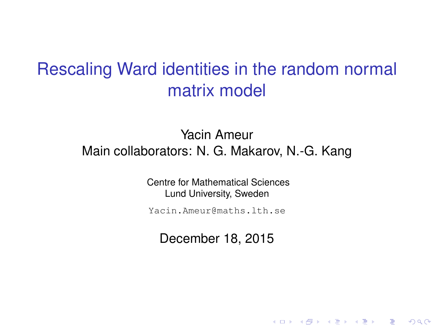### <span id="page-0-0"></span>Rescaling Ward identities in the random normal matrix model

### Yacin Ameur Main collaborators: N. G. Makarov, N.-G. Kang

Centre for Mathematical Sciences Lund University, Sweden

Yacin.Ameur@maths.lth.se

December 18, 2015

K ロ ▶ K @ ▶ K 할 ▶ K 할 ▶ 이 할 → 900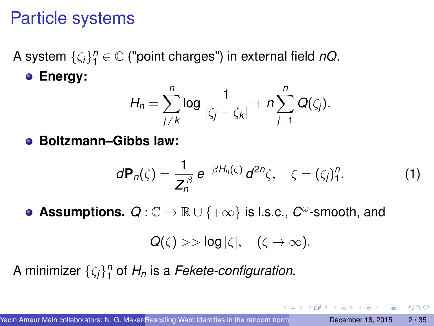## <span id="page-1-0"></span>Particle systems

A system {ζ*i*} *n* <sup>1</sup> <sup>∈</sup> <sup>C</sup> ("point charges") in external field *nQ*. **Energy:**

$$
H_n=\sum_{j\neq k}^n \log \frac{1}{|\zeta_j-\zeta_k|}+n\sum_{j=1}^n Q(\zeta_j).
$$

**Boltzmann–Gibbs law:**

$$
d\mathbf{P}_n(\zeta) = \frac{1}{Z_n^{\beta}} e^{-\beta H_n(\zeta)} d^{2n} \zeta, \quad \zeta = (\zeta_j)_1^n. \tag{1}
$$

**Assumptions.**  $Q: \mathbb{C} \to \mathbb{R} \cup \{+\infty\}$  is l.s.c.,  $C^{\omega}$ -smooth, and

$$
Q(\zeta) >> \log |\zeta|, \quad (\zeta \to \infty).
$$

A minimizer {ζ*j*} *n* 1 of *H<sup>n</sup>* is a *Fekete-configuration*.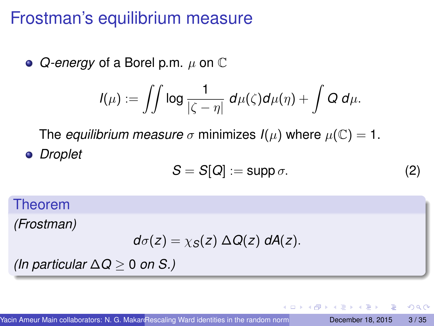## Frostman's equilibrium measure

**●** *Q-energy* of a Borel p.m. µ on ℂ

$$
I(\mu):=\iint\log\frac{1}{|\zeta-\eta|}\,d\mu(\zeta)d\mu(\eta)+\int Q\,d\mu.
$$

The *equilibrium measure*  $\sigma$  minimizes  $I(\mu)$  where  $\mu(\mathbb{C}) = 1$ . *Droplet*

$$
S = S[Q] := \text{supp }\sigma. \tag{2}
$$

 $\leftarrow$   $\leftarrow$   $\leftarrow$ 

Theorem

*(Frostman)*

$$
d\sigma(z)=\chi_S(z)\,\Delta Q(z)\,dA(z).
$$

*(In particular* ∆*Q* ≥ 0 *on S.)*

 $\Omega$ 

**REPARE**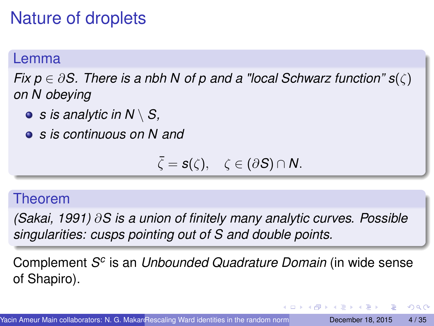# Nature of droplets

### Lemma

*Fix p* ∈ ∂*S. There is a nbh N of p and a "local Schwarz function" s*(ζ) *on N obeying*

- *s is analytic in N* \ *S,*
- *s is continuous on N and*

$$
\bar{\zeta}=s(\zeta),\quad \zeta\in(\partial S)\cap N.
$$

#### Theorem

*(Sakai, 1991)* ∂*S is a union of finitely many analytic curves. Possible singularities: cusps pointing out of S and double points.*

Complement S<sup>c</sup> is an *Unbounded Quadrature Domain* (in wide sense of Shapiro).

 $\Omega$ 

ヨメ イヨメ

 $\leftarrow$   $\leftarrow$   $\leftarrow$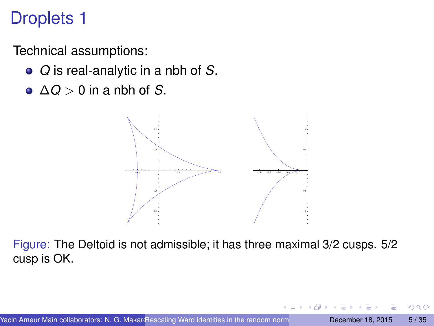# Droplets 1

Technical assumptions:

- *Q* is real-analytic in a nbh of *S*.
- ∆*Q* > 0 in a nbh of *S*.



Figure: The Deltoid is not admissible; it has three maximal 3/2 cusps. 5/2 cusp is OK.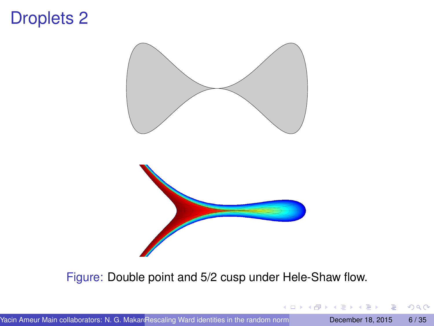### Droplets 2



Figure: Double point and 5/2 cusp under Hele-Shaw flow.

 $299$ 

4 (D) 3 (F) 3 (F) 3 (F)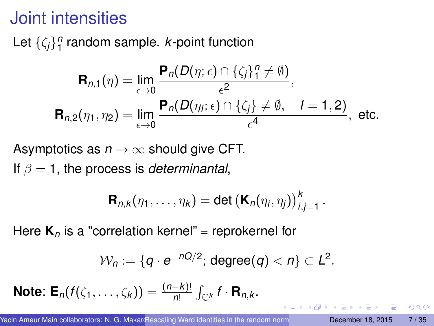## Joint intensities

Let  $\{\zeta_j\}_1^n$  random sample. *k*-point function

$$
\mathbf{R}_{n,1}(\eta) = \lim_{\epsilon \to 0} \frac{\mathbf{P}_n(D(\eta; \epsilon) \cap \{\zeta_j\}_1^n \neq \emptyset)}{\epsilon^2},
$$
  

$$
\mathbf{R}_{n,2}(\eta_1, \eta_2) = \lim_{\epsilon \to 0} \frac{\mathbf{P}_n(D(\eta_j; \epsilon) \cap \{\zeta_j\} \neq \emptyset, \quad l = 1, 2)}{\epsilon^4}, \text{ etc.}
$$

Asymptotics as  $n \to \infty$  should give CFT.

If  $\beta = 1$ , the process is *determinantal*,

$$
\mathbf{R}_{n,k}(\eta_1,\ldots,\eta_k)=\det\left(\mathbf{K}_n(\eta_i,\eta_j)\right)_{i,j=1}^k.
$$

Here  $\mathbf{K}_n$  is a "correlation kernel" = reprokernel for

$$
\mathcal{W}_n:=\{q\cdot e^{-nQ/2};\,\text{degree}(q)
$$

**Note:**  $\mathbf{E}_n(f(\zeta_1,\ldots,\zeta_k)) = \frac{(n-k)!}{n!} \int_{\mathbb{C}^k} f \cdot \mathbf{R}_{n,k}$ .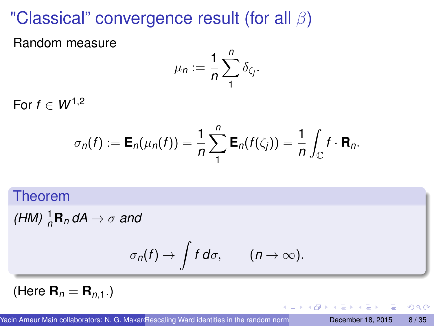# "Classical" convergence result (for all  $\beta$ )

Random measure

$$
\mu_n := \frac{1}{n} \sum_{1}^{n} \delta_{\zeta_j}.
$$

For  $f \in W^{1,2}$ 

$$
\sigma_n(f) := \mathsf{E}_n(\mu_n(f)) = \frac{1}{n} \sum_{1}^n \mathsf{E}_n(f(\zeta_j)) = \frac{1}{n} \int_{\mathbb{C}} f \cdot \mathsf{R}_n.
$$

### Theorem

 $(HM)\frac{1}{n}\mathbf{R}_n dA \rightarrow \sigma$  and

$$
\sigma_n(f) \to \int f \, d\sigma, \qquad (n \to \infty).
$$

(Here **.)** 

E

 $\Omega$ 

**REPAREM** 

4 同 下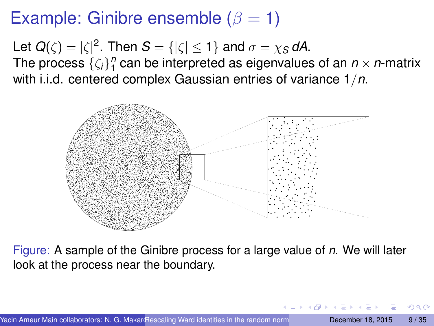# Example: Ginibre ensemble ( $\beta = 1$ )

Let  $Q(\zeta) = |\zeta|^2$ . Then  $S = \{|\zeta| \leq 1\}$  and  $\sigma = \chi_S dA$ .

The process  $\{\zeta_i\}_{1}^n$  can be interpreted as eigenvalues of an  $n \times n$ -matrix with i.i.d. centered complex Gaussian entries of variance 1/*n*.



Figure: A sample of the Ginibre process for a large value of *n*. We will later look at the process near the boundary.

化重压 不重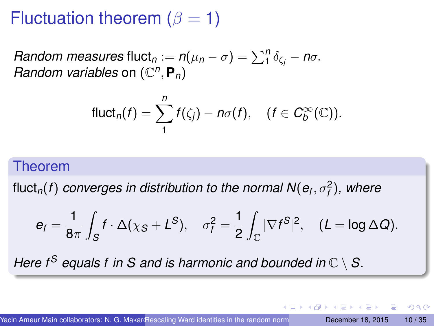# Fluctuation theorem ( $\beta = 1$ )

*Random measures* fluct $n := n(\mu_n - \sigma) = \sum_{i=1}^{n} \delta_{\zeta_i} - n\sigma$ . *Random variables* on  $(\mathbb{C}^n, \mathbf{P}_n)$ 

$$
\text{fluct}_n(f) = \sum_{1}^{n} f(\zeta_j) - n\sigma(f), \quad (f \in C_b^{\infty}(\mathbb{C})).
$$

### Theorem

fluct $_n(f)$  *converges in distribution to the normal*  $\mathsf{N}(\mathsf{e}_f, \sigma_f^2)$ *, where* 

$$
e_f = \frac{1}{8\pi} \int_S f \cdot \Delta(\chi_S + L^S), \quad \sigma_f^2 = \frac{1}{2} \int_{\mathbb{C}} |\nabla f^S|^2, \quad (L = \log \Delta Q).
$$

*Here f*<sup>S</sup> *equals f in S and is harmonic and bounded in*  $\mathbb{C} \setminus S$ *.* 

 $\Omega$ 

 $\mathcal{A}$   $\overline{\mathcal{B}}$   $\rightarrow$   $\mathcal{A}$   $\overline{\mathcal{B}}$   $\rightarrow$   $\mathcal{A}$   $\overline{\mathcal{B}}$   $\rightarrow$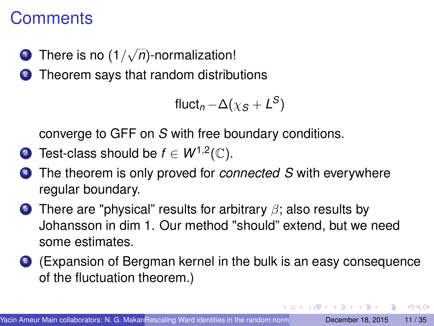### **Comments**

**1** There is no (1/ √ *n*)-normalization!

2 Theorem says that random distributions

$$
fluct_n - \Delta(\chi_S + L^S)
$$

converge to GFF on *S* with free boundary conditions.

- **3** Test-class should be  $f \in W^{1,2}(\mathbb{C})$ .
- <sup>4</sup> The theorem is only proved for *connected S* with everywhere regular boundary.
- **5** There are "physical" results for arbitrary  $\beta$ ; also results by Johansson in dim 1. Our method "should" extend, but we need some estimates.
- <sup>6</sup> (Expansion of Bergman kernel in the bulk is an easy consequence of the fluctuation theorem.)

 $\Omega$ 

**KENKEN B**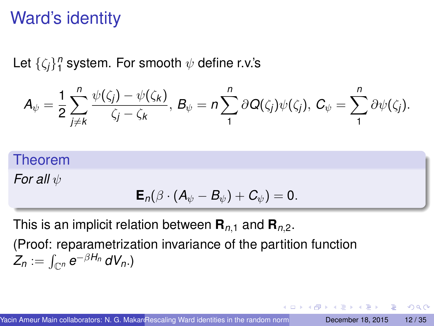# Ward's identity

Let  $\{\zeta_j\}_{\mathbf{1}}^n$  system. For smooth  $\psi$  define r.v.'s

$$
A_{\psi}=\frac{1}{2}\sum_{j\neq k}^n \frac{\psi(\zeta_j)-\psi(\zeta_k)}{\zeta_j-\zeta_k},\ B_{\psi}=n\sum_1^n \partial Q(\zeta_j)\psi(\zeta_j),\ C_{\psi}=\sum_1^n \partial \psi(\zeta_j).
$$

### Theorem

*For all*  $ψ$ 

$$
\mathsf{E}_n(\beta\cdot(A_{\psi}-B_{\psi})+C_{\psi})=0.
$$

 $\leftarrow$   $\leftarrow$   $\leftarrow$ 

**REPAREM** 

 $\Omega$ 

This is an implicit relation between  $\mathbf{R}_{n,1}$  and  $\mathbf{R}_{n,2}$ .

(Proof: reparametrization invariance of the partition function  $Z_n := \int_{{\mathbb C}^n} e^{-\beta H_n} \, dV_n.$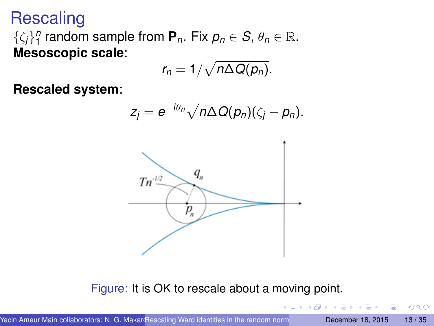**Rescaling** 

 $\{\zeta_j\}_1^n$  random sample from  $P_n$ . Fix  $p_n \in S$ ,  $\theta_n \in \mathbb{R}$ . **Mesoscopic scale**:

$$
r_n=1/\sqrt{n\Delta Q(\rho_n)}.
$$

**Rescaled system**:

$$
z_j=e^{-i\theta_n}\sqrt{n\Delta Q(\rho_n)}(\zeta_j-\rho_n).
$$



Figure: It is OK to rescale about a moving point.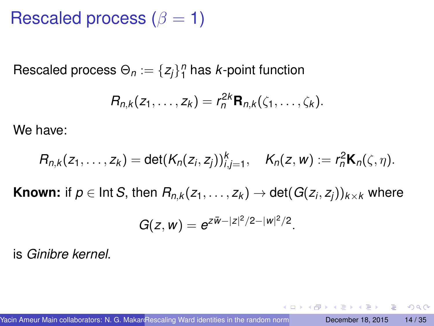Rescaled process ( $\beta = 1$ )

 $\mathsf{Rescaled}$  process  $\Theta_n := \{z_j\}_1^n$  has  $k$ -point function

$$
R_{n,k}(z_1,\ldots,z_k)=r_n^{2k}\mathbf{R}_{n,k}(\zeta_1,\ldots,\zeta_k).
$$

We have:

$$
R_{n,k}(z_1,\ldots,z_k)=\det(K_n(z_i,z_j))_{i,j=1}^k,\quad K_n(z,w):=r_n^2\mathbf{K}_n(\zeta,\eta).
$$

 $\mathsf{Known}\text{: if }p\in\mathsf{Int}\,\mathcal{S}\text{, then }R_{n,k}(z_1,\ldots,z_k)\rightarrow\mathsf{det}(G(z_i,z_j))_{k\times k}\text{ where }k\in\mathcal{S}\backslash\{0\}$ 

$$
G(z, w) = e^{z\bar{w}-|z|^2/2-|w|^2/2}.
$$

is *Ginibre kernel*.

 $\equiv$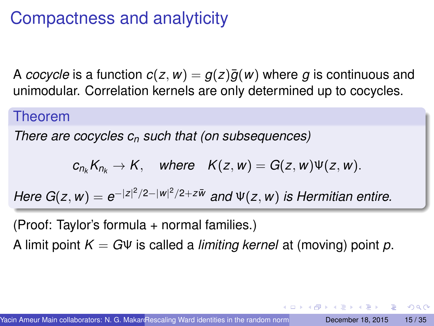# Compactness and analyticity

A *cocycle* is a function  $c(z, w) = g(z)\overline{g}(w)$  where g is continuous and unimodular. Correlation kernels are only determined up to cocycles.

#### Theorem

*There are cocycles c<sup>n</sup> such that (on subsequences)*

$$
c_{n_k}K_{n_k}\to K, \quad where \quad K(z,w)=G(z,w)\Psi(z,w).
$$

*Here G*(*z*, *w*) =  $e^{-|z|^2/2-|w|^2/2+z\bar{w}}$  and  $\Psi(z, w)$  is Hermitian entire.

(Proof: Taylor's formula + normal families.) A limit point *K* = *G*Ψ is called a *limiting kernel* at (moving) point *p*.

 $\Omega$ 

イロト イ押ト イヨト イヨト ニヨ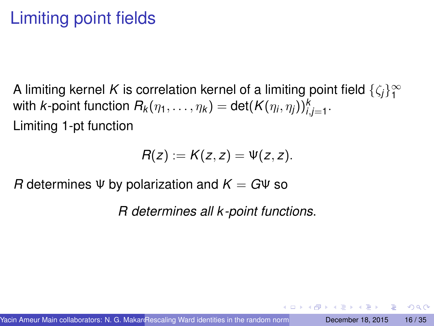# Limiting point fields

A limiting kernel K is correlation kernel of a limiting point field  $\{\zeta_j\}_1^\infty$ with  $k$ -point function  $R_k(\eta_1,\ldots,\eta_k)=\mathsf{det}(K(\eta_i,\eta_j))_{i,j=1}^k.$ Limiting 1-pt function

$$
R(z):=K(z,z)=\Psi(z,z).
$$

*R* determines  $\Psi$  by polarization and  $K = G\Psi$  so

*R determines all k -point functions*.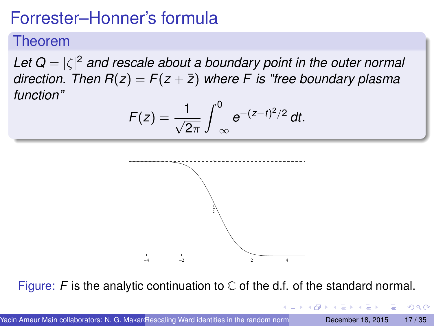# Forrester–Honner's formula

### Theorem

*Let Q* = |ζ| <sup>2</sup> *and rescale about a boundary point in the outer normal direction. Then*  $R(z) = F(z + \overline{z})$  *where* F *is "free boundary plasma function"*

$$
F(z) = \frac{1}{\sqrt{2\pi}} \int_{-\infty}^{0} e^{-(z-t)^2/2} dt.
$$



Figure:  $F$  is the analytic continuation to  $\mathbb C$  of the d.f. of the standard normal.

| Yacin Ameur Main collaborators: N. G. Makar Rescaling Ward identities in the random norm |  | December 18, 2015 17/35   |  |  |
|------------------------------------------------------------------------------------------|--|---------------------------|--|--|
|                                                                                          |  | 그리고 아이들은 지금 아이들이 아들이 생겼다. |  |  |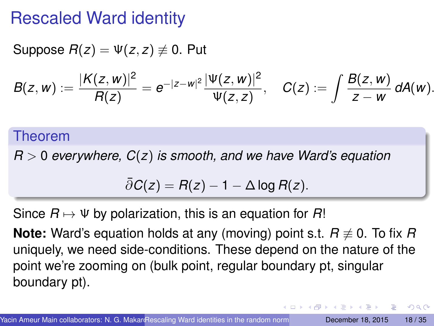### Rescaled Ward identity

Suppose  $R(z) = \Psi(z, z) \neq 0$ . Put

$$
B(z,w):=\frac{|K(z,w)|^2}{R(z)}=e^{-|z-w|^2}\frac{|\Psi(z,w)|^2}{\Psi(z,z)},\quad C(z):=\int\frac{B(z,w)}{z-w}\,dA(w).
$$

#### Theorem

*R* > 0 *everywhere, C*(*z*) *is smooth, and we have Ward's equation*

$$
\bar{\partial}C(z) = R(z) - 1 - \Delta \log R(z).
$$

Since  $R \mapsto \Psi$  by polarization, this is an equation for  $R!$ 

**Note:** Ward's equation holds at any (moving) point s.t.  $R \neq 0$ . To fix  $R$ uniquely, we need side-conditions. These depend on the nature of the point we're zooming on (bulk point, regular boundary pt, singular boundary pt).

 $\Omega$ 

**A BAK BA**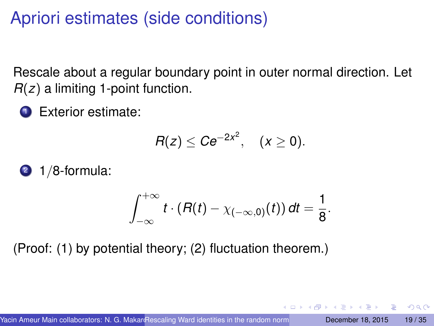# Apriori estimates (side conditions)

Rescale about a regular boundary point in outer normal direction. Let *R*(*z*) a limiting 1-point function.

**1** Exterior estimate:

$$
R(z)\leq Ce^{-2x^2}, \quad (x\geq 0).
$$

 $2 \frac{1}{8}$ -formula:

$$
\int_{-\infty}^{+\infty} t \cdot (R(t) - \chi_{(-\infty,0)}(t)) dt = \frac{1}{8}.
$$

(Proof: (1) by potential theory; (2) fluctuation theorem.)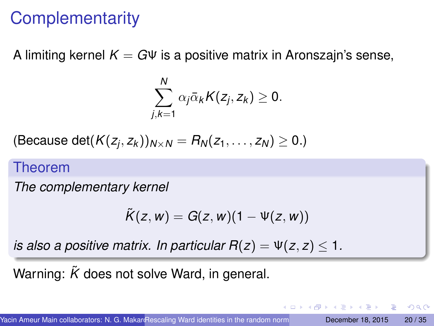# **Complementarity**

A limiting kernel  $K = G \Psi$  is a positive matrix in Aronszajn's sense,

$$
\sum_{j,k=1}^N \alpha_j \bar{\alpha}_k K(z_j,z_k) \geq 0.
$$

(Because det $(K(z_j, z_k))_{N \times N} = R_N(z_1, \ldots, z_N) \geq 0.$ )

#### Theorem

*The complementary kernel*

$$
\tilde{K}(z,w)=G(z,w)(1-\Psi(z,w))
$$

*is also a positive matrix. In particular*  $R(z) = \Psi(z, z) < 1$ *.* 

Warning:  $\tilde{K}$  does not solve Ward, in general.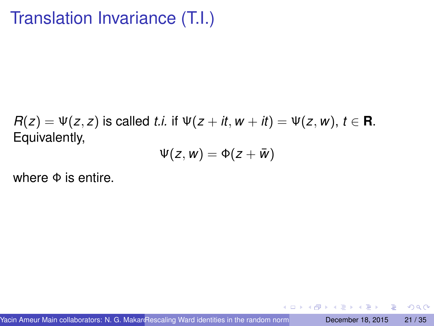# Translation Invariance (T.I.)

 $R(z) = \Psi(z, z)$  is called *t.i.* if  $\Psi(z + it, w + it) = \Psi(z, w), t \in \mathbb{R}$ . Equivalently,

$$
\Psi(z,w)=\Phi(z+\bar{w})
$$

where  $\Phi$  is entire.

**A** The

в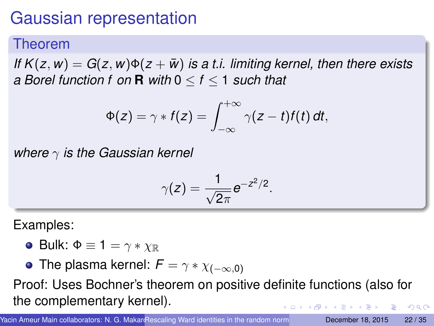# <span id="page-21-0"></span>Gaussian representation

### Theorem

*If*  $K(z, w) = G(z, w) \Phi(z + \bar{w})$  *is a t.i. limiting kernel, then there exists a Borel function f on* **R** *with* 0 ≤ *f* ≤ 1 *such that*

$$
\Phi(z) = \gamma * f(z) = \int_{-\infty}^{+\infty} \gamma(z - t) f(t) dt,
$$

*where* γ *is the Gaussian kernel*

$$
\gamma(z)=\frac{1}{\sqrt{2\pi}}e^{-z^2/2}.
$$

Examples:

• Bulk:  $\Phi \equiv 1 = \gamma * \chi_{\mathbb{R}}$ 

• The plasma kernel:  $F = \gamma * \chi_{(-\infty,0)}$ 

Proof: Uses Bochner's theorem on positive definite functions (also for the complementary kernel).  $\Omega$ 

Yacin Ameur Main collaborators: N. G. MakaroRescaling Ward identities in the random norm**al matrix model and matrix model and matrix model and matrix model and matrix model and matrix model and matrix model and matrix mode**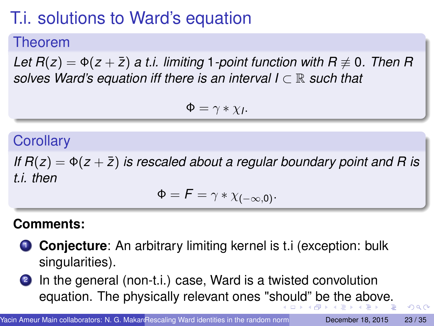# <span id="page-22-0"></span>T.i. solutions to Ward's equation

### Theorem

*Let*  $R(z) = \Phi(z + \overline{z})$  *a t.i. limiting* 1*-point function with*  $R \neq 0$ *. Then* R *solves Ward's equation iff there is an interval I* ⊂ R *such that*

$$
\Phi = \gamma * \chi_I.
$$

### **Corollary**

*If*  $R(z) = \Phi(z + \bar{z})$  *is rescaled about a regular boundary point and R is t.i. then*

$$
\Phi = F = \gamma * \chi_{(-\infty,0)}.
$$

### **Comments:**

- **1 Conjecture:** An arbitrary limiting kernel is t.i (exception: bulk singularities).
- 2 In the general (non-t.i.) case, Ward is a twisted convolution equation. The physically relevant ones "s[ho](#page-21-0)[uld](#page-23-0)["](#page-21-0) [b](#page-22-0)[e](#page-23-0) [t](#page-0-0)[h](#page-1-0)[e](#page-34-0) [a](#page-0-0)[b](#page-1-0)[ov](#page-34-0)[e.](#page-0-0)

 $QQ$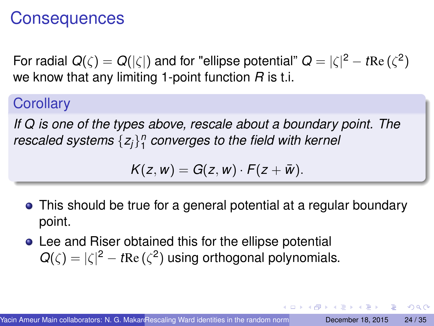### <span id="page-23-0"></span>**Consequences**

For radial  $Q(\zeta) = Q(|\zeta|)$  and for "ellipse potential"  $Q = |\zeta|^2 - t\text{Re}\,(\zeta^2)$ we know that any limiting 1-point function *R* is t.i.

**Corollary** 

*If Q is one of the types above, rescale about a boundary point. The rescaled systems* {*zj*} *n* 1 *converges to the field with kernel*

 $K(z, w) = G(z, w) \cdot F(z + \bar{w}).$ 

This should be true for a general potential at a regular boundary point.

イロト イ押ト イヨト イヨト ニヨ

 $\Omega$ 

Lee and Riser obtained this for the ellipse potential  $Q(\zeta) = |\zeta|^2 - t \text{Re}(\zeta^2)$  using orthogonal polynomials.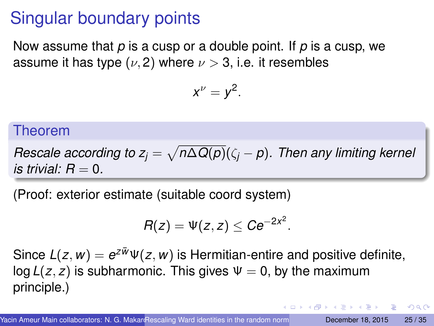# <span id="page-24-0"></span>Singular boundary points

Now assume that *p* is a cusp or a double point. If *p* is a cusp, we assume it has type  $(\nu, 2)$  where  $\nu > 3$ , i.e. it resembles

$$
x^{\nu}=y^2.
$$

#### Theorem

*Rescale according to*  $z_j = \sqrt{n \Delta Q(p)} (\zeta_j - p)$ *. Then any limiting kernel is trivial:*  $R = 0$ .

(Proof: exterior estimate (suitable coord system)

$$
R(z)=\Psi(z,z)\leq Ce^{-2x^2}.
$$

Since  $L(z, w) = e^{z\bar{w}}\Psi(z, w)$  is Hermitian-entire and positive definite, log  $L(z, z)$  is subharmonic. This gives  $\Psi = 0$ , by the maximum principle.)

 $\Omega$ 

 $(0.125 \times 10^{-14} \text{ m}) \times 10^{-14} \text{ m}$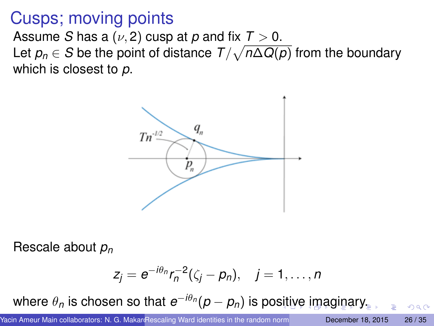### <span id="page-25-0"></span>Cusps; moving points

Assume *S* has a  $(\nu, 2)$  cusp at *p* and fix  $T > 0$ .

Let  $\rho_n\in{\cal S}$  be the point of distance  ${\cal T}/\sqrt{n\Delta Q(\rho)}$  from the boundary which is closest to *p*.



Rescale about *p<sup>n</sup>*

$$
z_j=e^{-i\theta_n}r_n^{-2}(\zeta_j-p_n),\quad j=1,\ldots,n
$$

whe[r](#page-0-0)e  $\theta_{\eta}$  $\theta_{\eta}$  $\theta_{\eta}$  [i](#page-24-0)s chosen so that  $e^{-i\theta_{\eta}}(p-p_{\eta})$  $e^{-i\theta_{\eta}}(p-p_{\eta})$  $e^{-i\theta_{\eta}}(p-p_{\eta})$  is po[siti](#page-24-0)[ve](#page-26-0) i[m](#page-25-0)a[g](#page-0-0)i[na](#page-34-0)r[y.](#page-1-0)

 $\cap$   $\cap$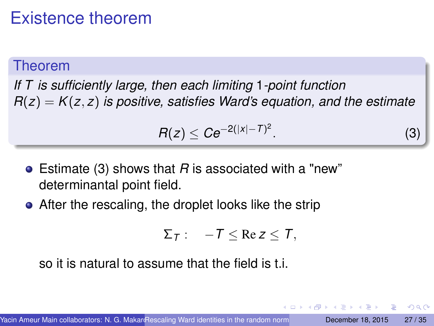## <span id="page-26-0"></span>Existence theorem

#### Theorem

*If T is sufficiently large, then each limiting* 1*-point function*  $R(z) = K(z, z)$  *is positive, satisfies Ward's equation, and the estimate* 

<span id="page-26-1"></span>
$$
R(z) \leq Ce^{-2(|x|-T)^2}.
$$
 (3)

- Estimate [\(3\)](#page-26-1) shows that *R* is associated with a "new" determinantal point field.
- After the rescaling, the droplet looks like the strip

$$
\Sigma_T: \quad -T \leq \text{Re } z \leq T,
$$

so it is natural to assume that the field is t.i.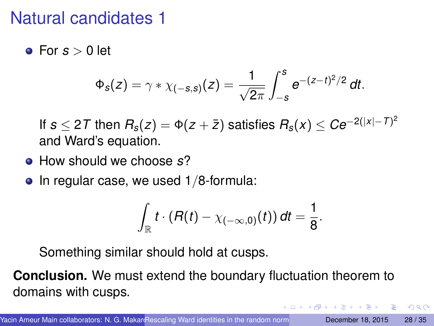## Natural candidates 1

 $\bullet$  For  $s > 0$  let

$$
\Phi_{s}(z) = \gamma * \chi_{(-s,s)}(z) = \frac{1}{\sqrt{2\pi}} \int_{-s}^{s} e^{-(z-t)^{2}/2} dt.
$$

If  $s$   $\leq$  27 then  $R_s(z) = \Phi(z + \bar{z})$  satisfies  $R_s(x) \leq C e^{-2(|x|-T)^2}$ and Ward's equation.

- How should we choose *s*?
- $\bullet$  In regular case, we used 1/8-formula:

$$
\int_{\mathbb{R}} t \cdot (R(t) - \chi_{(-\infty,0)}(t)) dt = \frac{1}{8}.
$$

 $\Omega$ 

Something similar should hold at cusps.

**Conclusion.** We must extend the boundary fluctuation theorem to domains with cusps.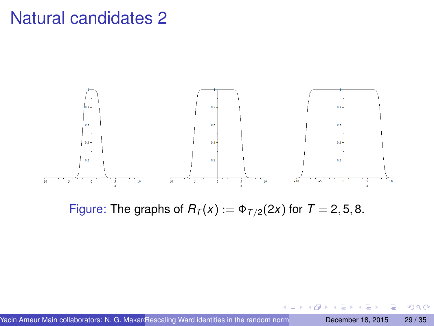### Natural candidates 2



Figure: The graphs of  $R_T(x) := \Phi_{T/2}(2x)$  for  $T = 2, 5, 8$ .

Þ

 $299$ 

 $\leftarrow$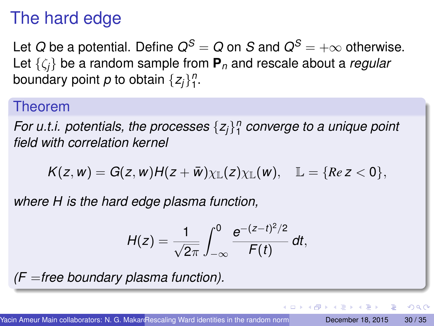# The hard edge

Let *Q* be a potential. Define  $Q^S = Q$  on *S* and  $Q^S = +\infty$  otherwise. Let {ζ*j*} be a random sample from **P***<sup>n</sup>* and rescale about a *regular* boundary point  $\rho$  to obtain  $\{z_j\}_{1}^n$ .

#### Theorem

*For u.t.i. potentials, the processes* {*zj*} *n* 1 *converge to a unique point field with correlation kernel*

 $K(z, w) = G(z, w)H(z + \bar{w})\chi_{\mathbb{L}}(z)\chi_{\mathbb{L}}(w), \quad \mathbb{L} = \{Re\ z < 0\},\$ 

*where H is the hard edge plasma function,*

$$
H(z) = \frac{1}{\sqrt{2\pi}} \int_{-\infty}^{0} \frac{e^{-(z-t)^2/2}}{F(t)} dt,
$$

*(F* =*free boundary plasma function).*

в

 $\Omega$ 

イロト イ押 トイラト イラト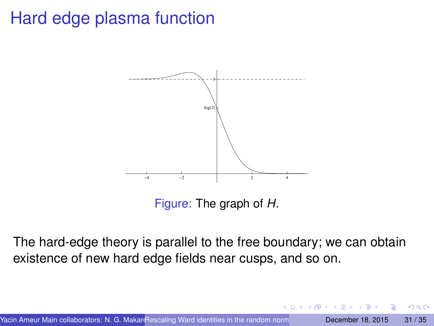# Hard edge plasma function



Figure: The graph of *H*.

The hard-edge theory is parallel to the free boundary; we can obtain existence of new hard edge fields near cusps, and so on.

∽≏∩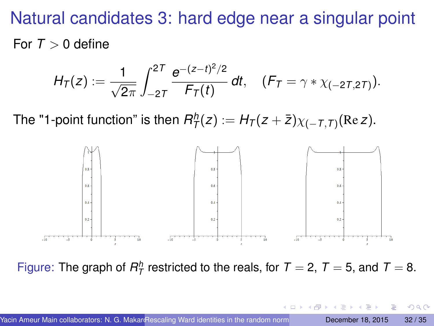Natural candidates 3: hard edge near a singular point For  $T > 0$  define

$$
H_T(z) := \frac{1}{\sqrt{2\pi}} \int_{-2T}^{2T} \frac{e^{-(z-t)^2/2}}{F_T(t)} dt, \quad (F_T = \gamma * \chi_{(-2T, 2T)}).
$$

The "1-point function" is then  $R^h_{\mathcal{T}}(z) := H_{\mathcal{T}}(z + \bar{z}) \chi_{(-\mathcal{T}, \mathcal{T})}(\text{Re } z)$ .



Figure: The graph of  $R^h$  restricted to the reals, for  $T = 2$ ,  $T = 5$ , and  $T = 8$ .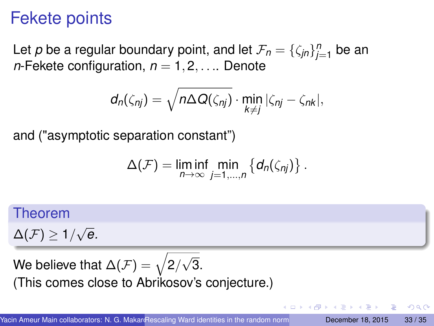# Fekete points

Let *p* be a regular boundary point, and let  $\mathcal{F}_n = {\zeta_{jn}}_{j=1}^n$  be an *n*-Fekete configuration,  $n = 1, 2, \ldots$  Denote

$$
d_n(\zeta_{nj})=\sqrt{n\Delta Q(\zeta_{nj})}\cdot \min_{k\neq j}|\zeta_{nj}-\zeta_{nk}|,
$$

and ("asymptotic separation constant")

$$
\Delta(\mathcal{F})=\liminf_{n\to\infty}\min_{j=1,\dots,n}\left\{d_n(\zeta_{nj})\right\}.
$$

#### Theorem

 $\Delta({\cal F})\geq 1/$ √ *e.*

We believe that  $\Delta(\mathcal{F})=\sqrt{2/3}$ √ 3. (This comes close to Abrikosov's conjecture.)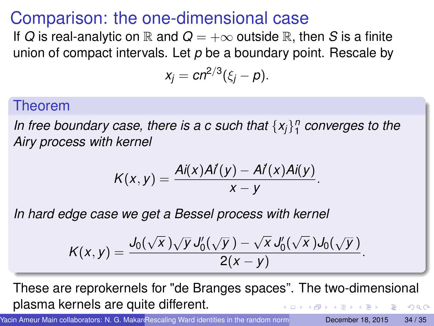## Comparison: the one-dimensional case

If *Q* is real-analytic on  $\mathbb R$  and  $Q = +\infty$  outside  $\mathbb R$ , then *S* is a finite union of compact intervals. Let *p* be a boundary point. Rescale by

$$
x_j = cn^{2/3}(\xi_j - p).
$$

#### Theorem

*In free boundary case, there is a c such that* {*xj*} *n* 1 *converges to the Airy process with kernel*

$$
K(x,y)=\frac{Ai(x)Ai(y)-Ai(x)Ai(y)}{x-y}.
$$

*In hard edge case we get a Bessel process with kernel*

$$
K(x,y)=\frac{J_0(\sqrt{x})\sqrt{y}J_0'(\sqrt{y})-\sqrt{x}J_0'(\sqrt{x})J_0(\sqrt{y})}{2(x-y)}.
$$

These are reprokernels for "de Branges spaces". The two-dimensional plasma kernels are quite different.  $\Omega$ 

Yacin Ameur Main collaborators: N. G. MakaroRescaling Ward identities in the random norm**al and December 18, 2015** 34 / 35